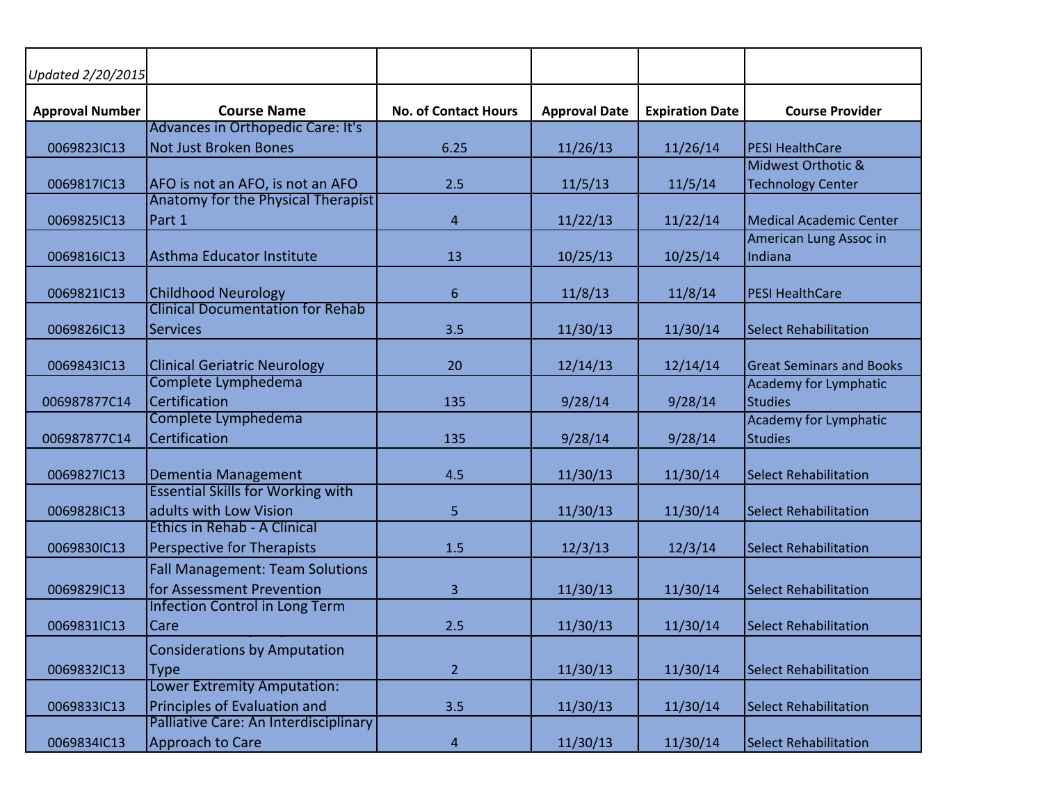| Updated 2/20/2015      |                                          |                             |                      |                        |                                   |
|------------------------|------------------------------------------|-----------------------------|----------------------|------------------------|-----------------------------------|
| <b>Approval Number</b> | <b>Course Name</b>                       | <b>No. of Contact Hours</b> | <b>Approval Date</b> | <b>Expiration Date</b> | <b>Course Provider</b>            |
|                        | Advances in Orthopedic Care: It's        |                             |                      |                        |                                   |
| 0069823IC13            | Not Just Broken Bones                    | 6.25                        | 11/26/13             | 11/26/14               | <b>PESI HealthCare</b>            |
|                        |                                          |                             |                      |                        | Midwest Orthotic &                |
| 0069817IC13            | AFO is not an AFO, is not an AFO         | 2.5                         | 11/5/13              | 11/5/14                | Technology Center                 |
|                        | Anatomy for the Physical Therapist       |                             |                      |                        |                                   |
| 0069825IC13            | Part 1                                   | 4                           | 11/22/13             | 11/22/14               | Medical Academic Center           |
| 0069816IC13            | Asthma Educator Institute                | 13                          | 10/25/13             | 10/25/14               | American Lung Assoc in<br>Indiana |
|                        |                                          |                             |                      |                        |                                   |
| 0069821IC13            | <b>Childhood Neurology</b>               | 6                           | 11/8/13              | 11/8/14                | <b>PESI HealthCare</b>            |
|                        | <b>Clinical Documentation for Rehab</b>  |                             |                      |                        |                                   |
| 0069826IC13            | <b>Services</b>                          | 3.5                         | 11/30/13             | 11/30/14               | <b>Select Rehabilitation</b>      |
|                        |                                          |                             |                      |                        |                                   |
| 0069843IC13            | <b>Clinical Geriatric Neurology</b>      | 20                          | 12/14/13             | 12/14/14               | <b>Great Seminars and Books</b>   |
|                        | Complete Lymphedema                      |                             |                      |                        | Academy for Lymphatic             |
| 006987877C14           | Certification                            | 135                         | 9/28/14              | 9/28/14                | Studies                           |
|                        | Complete Lymphedema                      |                             |                      |                        | Academy for Lymphatic             |
| 006987877C14           | Certification                            | 135                         | 9/28/14              | 9/28/14                | Studies                           |
|                        |                                          |                             |                      |                        |                                   |
| 0069827IC13            | Dementia Management                      | 4.5                         | 11/30/13             | 11/30/14               | Select Rehabilitation             |
|                        | <b>Essential Skills for Working with</b> |                             |                      |                        |                                   |
| 0069828IC13            | adults with Low Vision                   | 5                           | 11/30/13             | 11/30/14               | <b>Select Rehabilitation</b>      |
|                        | <b>Ethics in Rehab - A Clinical</b>      |                             |                      |                        |                                   |
| 0069830IC13            | Perspective for Therapists               | 1.5                         | 12/3/13              | 12/3/14                | Select Rehabilitation             |
|                        | <b>Fall Management: Team Solutions</b>   |                             |                      |                        |                                   |
| 0069829IC13            | for Assessment Prevention                | 3                           | 11/30/13             | 11/30/14               | <b>Select Rehabilitation</b>      |
|                        | <b>Infection Control in Long Term</b>    |                             |                      |                        |                                   |
| 0069831IC13            | Care                                     | 2.5                         | 11/30/13             | 11/30/14               | Select Rehabilitation             |
|                        | <b>Considerations by Amputation</b>      |                             |                      |                        |                                   |
| 0069832IC13            | <b>Type</b>                              | $\overline{2}$              | 11/30/13             | 11/30/14               | Select Rehabilitation             |
|                        | <b>Lower Extremity Amputation:</b>       |                             |                      |                        |                                   |
| 0069833IC13            | Principles of Evaluation and             | 3.5                         | 11/30/13             | 11/30/14               | Select Rehabilitation             |
|                        | Palliative Care: An Interdisciplinary    |                             |                      |                        |                                   |
| 0069834IC13            | Approach to Care                         | $\overline{4}$              | 11/30/13             | 11/30/14               | Select Rehabilitation             |